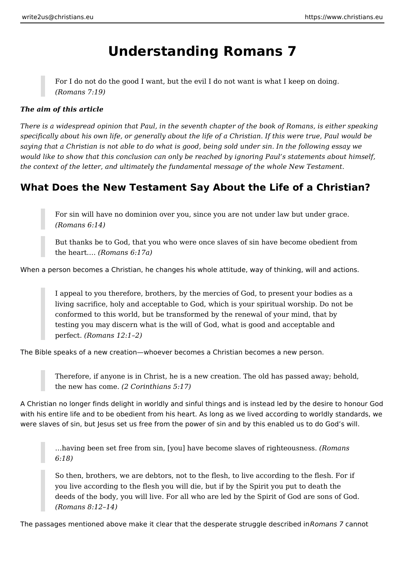# **Understanding Romans 7**

For I do not do the good I want, but the evil I do not want is what I keep on doing. *(Romans 7:19)*

#### *The aim of this article*

*There is a widespread opinion that Paul, in the seventh chapter of the book of Romans, is either speaking specifically about his own life, or generally about the life of a Christian. If this were true, Paul would be saying that a Christian is not able to do what is good, being sold under sin. In the following essay we would like to show that this conclusion can only be reached by ignoring Paul's statements about himself, the context of the letter, and ultimately the fundamental message of the whole New Testament.*

### **What Does the New Testament Say About the Life of a Christian?**

For sin will have no dominion over you, since you are not under law but under grace. *(Romans 6:14)*

But thanks be to God, that you who were once slaves of sin have become obedient from the heart.… *(Romans 6:17a)*

When a person becomes a Christian, he changes his whole attitude, way of thinking, will and actions.

I appeal to you therefore, brothers, by the mercies of God, to present your bodies as a living sacrifice, holy and acceptable to God, which is your spiritual worship. Do not be conformed to this world, but be transformed by the renewal of your mind, that by testing you may discern what is the will of God, what is good and acceptable and perfect. *(Romans 12:1–2)*

The Bible speaks of a new creation—whoever becomes a Christian becomes a new person.

Therefore, if anyone is in Christ, he is a new creation. The old has passed away; behold, the new has come. *(2 Corinthians 5:17)*

A Christian no longer finds delight in worldly and sinful things and is instead led by the desire to honour God with his entire life and to be obedient from his heart. As long as we lived according to worldly standards, we were slaves of sin, but Jesus set us free from the power of sin and by this enabled us to do God's will.

…having been set free from sin, [you] have become slaves of righteousness. *(Romans 6:18)*

So then, brothers, we are debtors, not to the flesh, to live according to the flesh. For if you live according to the flesh you will die, but if by the Spirit you put to death the deeds of the body, you will live. For all who are led by the Spirit of God are sons of God. *(Romans 8:12–14)*

The passages mentioned above make it clear that the desperate struggle described in *Romans 7* cannot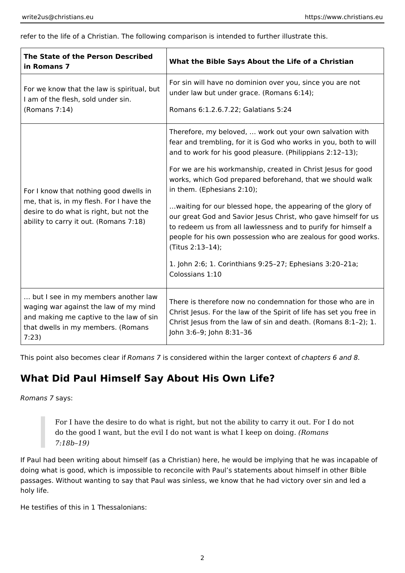refer to the life of a Christian. The following comparison is intended to further illustrate this.

| The State of the Person Described<br>in Romans 7                                                                                                                        | What the Bible Says About the Life of a Christian                                                                                                                                                                                                                                                                                                                                                                                                                                                                                                                                                                                                                                                                          |
|-------------------------------------------------------------------------------------------------------------------------------------------------------------------------|----------------------------------------------------------------------------------------------------------------------------------------------------------------------------------------------------------------------------------------------------------------------------------------------------------------------------------------------------------------------------------------------------------------------------------------------------------------------------------------------------------------------------------------------------------------------------------------------------------------------------------------------------------------------------------------------------------------------------|
| For we know that the law is spiritual, but<br>I am of the flesh, sold under sin.<br>(Romans 7:14)                                                                       | For sin will have no dominion over you, since you are not<br>under law but under grace. (Romans 6:14);<br>Romans 6:1.2.6.7.22; Galatians 5:24                                                                                                                                                                                                                                                                                                                                                                                                                                                                                                                                                                              |
| For I know that nothing good dwells in<br>me, that is, in my flesh. For I have the<br>desire to do what is right, but not the<br>ability to carry it out. (Romans 7:18) | Therefore, my beloved,  work out your own salvation with<br>fear and trembling, for it is God who works in you, both to will<br>and to work for his good pleasure. (Philippians 2:12-13);<br>For we are his workmanship, created in Christ Jesus for good<br>works, which God prepared beforehand, that we should walk<br>in them. (Ephesians 2:10);<br>waiting for our blessed hope, the appearing of the glory of<br>our great God and Savior Jesus Christ, who gave himself for us<br>to redeem us from all lawlessness and to purify for himself a<br>people for his own possession who are zealous for good works.<br>(Titus 2:13-14);<br>1. John 2:6; 1. Corinthians 9:25-27; Ephesians 3:20-21a;<br>Colossians 1:10 |
| but I see in my members another law<br>waging war against the law of my mind<br>and making me captive to the law of sin<br>that dwells in my members. (Romans<br>7:23)  | There is therefore now no condemnation for those who are in<br>Christ Jesus. For the law of the Spirit of life has set you free in<br>Christ Jesus from the law of sin and death. (Romans 8:1-2); 1.<br>John 3:6-9; John 8:31-36                                                                                                                                                                                                                                                                                                                                                                                                                                                                                           |

This point also becomes clear if *Romans 7* is considered within the larger context of *chapters 6 and 8*.

### **What Did Paul Himself Say About His Own Life?**

*Romans 7* says:

For I have the desire to do what is right, but not the ability to carry it out. For I do not do the good I want, but the evil I do not want is what I keep on doing. *(Romans 7:18b–19)*

If Paul had been writing about himself (as a Christian) here, he would be implying that he was incapable of doing what is good, which is impossible to reconcile with Paul's statements about himself in other Bible passages. Without wanting to say that Paul was sinless, we know that he had victory over sin and led a holy life.

He testifies of this in 1 Thessalonians: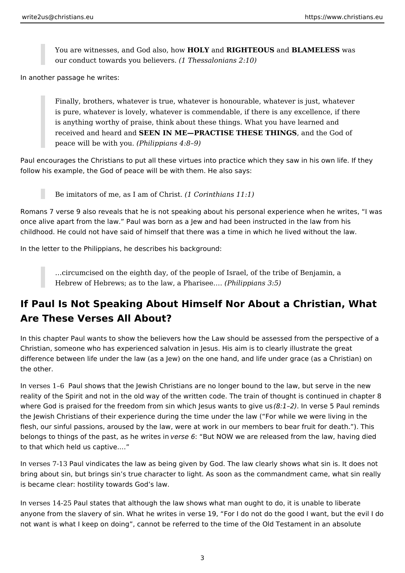You are witnesses, and God also, how **HOLY** and **RIGHTEOUS** and **BLAMELESS** was our conduct towards you believers. *(1 Thessalonians 2:10)*

In another passage he writes:

Finally, brothers, whatever is true, whatever is honourable, whatever is just, whatever is pure, whatever is lovely, whatever is commendable, if there is any excellence, if there is anything worthy of praise, think about these things. What you have learned and received and heard and **SEEN IN ME—PRACTISE THESE THINGS**, and the God of peace will be with you. *(Philippians 4:8–9)*

Paul encourages the Christians to put all these virtues into practice which they saw in his own life. If they follow his example, the God of peace will be with them. He also says:

Be imitators of me, as I am of Christ. *(1 Corinthians 11:1)*

Romans 7 verse 9 also reveals that he is not speaking about his personal experience when he writes, "I was once alive apart from the law." Paul was born as a Jew and had been instructed in the law from his childhood. He could not have said of himself that there was a time in which he lived without the law.

In the letter to the Philippians, he describes his background:

…circumcised on the eighth day, of the people of Israel, of the tribe of Benjamin, a Hebrew of Hebrews; as to the law, a Pharisee.… *(Philippians 3:5)*

## **If Paul Is Not Speaking About Himself Nor About a Christian, What Are These Verses All About?**

In this chapter Paul wants to show the believers how the Law should be assessed from the perspective of a Christian, someone who has experienced salvation in Jesus. His aim is to clearly illustrate the great difference between life under the law (as a Jew) on the one hand, and life under grace (as a Christian) on the other.

In verses 1-6 Paul shows that the Jewish Christians are no longer bound to the law, but serve in the new reality of the Spirit and not in the old way of the written code. The train of thought is continued in chapter 8 where God is praised for the freedom from sin which Jesus wants to give us (8:1-2). In verse 5 Paul reminds the Jewish Christians of their experience during the time under the law ("For while we were living in the flesh, our sinful passions, aroused by the law, were at work in our members to bear fruit for death."). This belongs to things of the past, as he writes in *verse 6*: "But NOW we are released from the law, having died to that which held us captive.…"

In verses 7-13 Paul vindicates the law as being given by God. The law clearly shows what sin is. It does not bring about sin, but brings sin's true character to light. As soon as the commandment came, what sin really is became clear: hostility towards God's law.

In verses 14-25 Paul states that although the law shows what man ought to do, it is unable to liberate anyone from the slavery of sin. What he writes in verse 19, "For I do not do the good I want, but the evil I do not want is what I keep on doing", cannot be referred to the time of the Old Testament in an absolute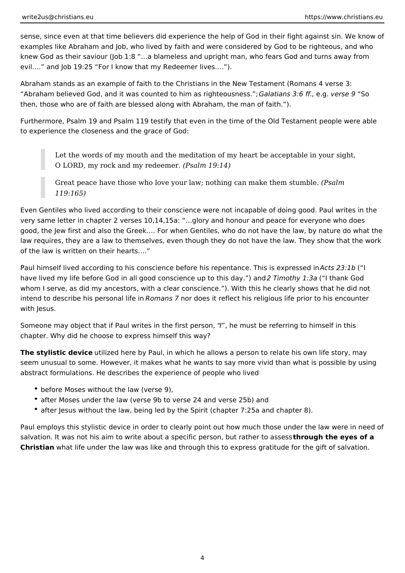sense, since even at that time believers did experience the help of God in their fight against sin. We know of examples like Abraham and Job, who lived by faith and were considered by God to be righteous, and who knew God as their saviour (Job 1:8 "…a blameless and upright man, who fears God and turns away from evil.…" and Job 19:25 "For I know that my Redeemer lives.…").

Abraham stands as an example of faith to the Christians in the New Testament (Romans 4 verse 3: "Abraham believed God, and it was counted to him as righteousness."; *Galatians 3:6 ff.*, e.g. *verse 9* "So then, those who are of faith are blessed along with Abraham, the man of faith.").

Furthermore, Psalm 19 and Psalm 119 testify that even in the time of the Old Testament people were able to experience the closeness and the grace of God:

Let the words of my mouth and the meditation of my heart be acceptable in your sight, O LORD, my rock and my redeemer. *(Psalm 19:14)*

Great peace have those who love your law; nothing can make them stumble. *(Psalm 119:165)*

Even Gentiles who lived according to their conscience were not incapable of doing good. Paul writes in the very same letter in chapter 2 verses 10,14,15a: "…glory and honour and peace for everyone who does good, the Jew first and also the Greek.… For when Gentiles, who do not have the law, by nature do what the law requires, they are a law to themselves, even though they do not have the law. They show that the work of the law is written on their hearts.…"

Paul himself lived according to his conscience before his repentance. This is expressed in *Acts 23:1b* ("I have lived my life before God in all good conscience up to this day.") and *2 Timothy 1:3a* ("I thank God whom I serve, as did my ancestors, with a clear conscience."). With this he clearly shows that he did not intend to describe his personal life in *Romans 7* nor does it reflect his religious life prior to his encounter with Jesus.

Someone may object that if Paul writes in the first person, "*I*", he must be referring to himself in this chapter. Why did he choose to express himself this way?

**The stylistic device** utilized here by Paul, in which he allows a person to relate his own life story, may seem unusual to some. However, it makes what he wants to say more vivid than what is possible by using abstract formulations. He describes the experience of people who lived

- before Moses without the law (verse 9),
- after Moses under the law (verse 9b to verse 24 and verse 25b) and
- after Jesus without the law, being led by the Spirit (chapter 7:25a and chapter 8).

Paul employs this stylistic device in order to clearly point out how much those under the law were in need of salvation. It was not his aim to write about a specific person, but rather to assess **through the eyes of a Christian** what life under the law was like and through this to express gratitude for the gift of salvation.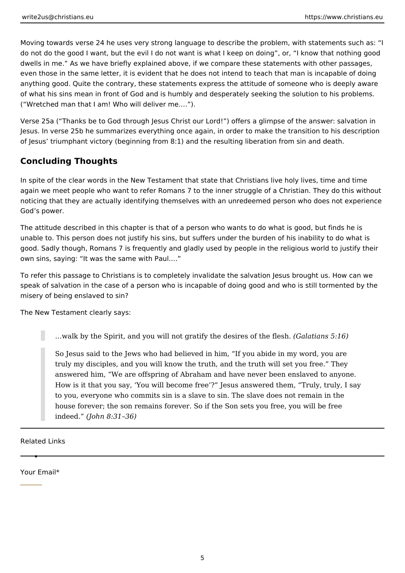Moving towards verse 24 he uses very strong language to describe the problem, with statements such as: "I do not do the good I want, but the evil I do not want is what I keep on doing", or, "I know that nothing good dwells in me." As we have briefly explained above, if we compare these statements with other passages, even those in the same letter, it is evident that he does not intend to teach that man is incapable of doing anything good. Quite the contrary, these statements express the attitude of someone who is deeply aware of what his sins mean in front of God and is humbly and desperately seeking the solution to his problems. ("Wretched man that I am! Who will deliver me.…").

Verse 25a ("Thanks be to God through Jesus Christ our Lord!") offers a glimpse of the answer: salvation in Jesus. In verse 25b he summarizes everything once again, in order to make the transition to his description of Jesus' triumphant victory (beginning from 8:1) and the resulting liberation from sin and death.

### **Concluding Thoughts**

In spite of the clear words in the New Testament that state that Christians live holy lives, time and time again we meet people who want to refer Romans 7 to the inner struggle of a Christian. They do this without noticing that they are actually identifying themselves with an unredeemed person who does not experience God's power.

The attitude described in this chapter is that of a person who wants to do what is good, but finds he is unable to. This person does not justify his sins, but suffers under the burden of his inability to do what is good. Sadly though, Romans 7 is frequently and gladly used by people in the religious world to justify their own sins, saying: "It was the same with Paul.…"

To refer this passage to Christians is to completely invalidate the salvation Jesus brought us. How can we speak of salvation in the case of a person who is incapable of doing good and who is still tormented by the misery of being enslaved to sin?

The New Testament clearly says:

…walk by the Spirit, and you will not gratify the desires of the flesh. *(Galatians 5:16)*

So Jesus said to the Jews who had believed in him, "If you abide in my word, you are truly my disciples, and you will know the truth, and the truth will set you free." They answered him, "We are offspring of Abraham and have never been enslaved to anyone. How is it that you say, 'You will become free'?" Jesus answered them, "Truly, truly, I say to you, everyone who commits sin is a slave to sin. The slave does not remain in the house forever; the son remains forever. So if the Son sets you free, you will be free indeed." *(John 8:31–36)*

Related Links

Your Email\*